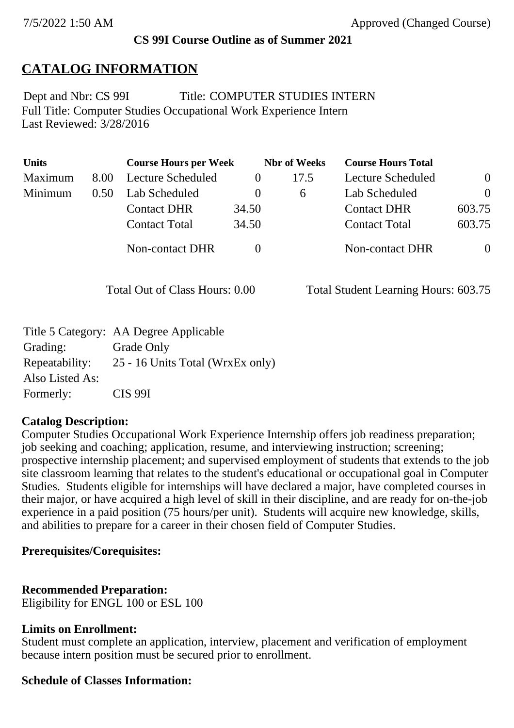### **CS 99I Course Outline as of Summer 2021**

## **CATALOG INFORMATION**

Full Title: Computer Studies Occupational Work Experience Intern Last Reviewed: 3/28/2016 Dept and Nbr: CS 99I Title: COMPUTER STUDIES INTERN

| <b>Units</b> |      | <b>Course Hours per Week</b> |          | <b>Nbr of Weeks</b> | <b>Course Hours Total</b> |                |
|--------------|------|------------------------------|----------|---------------------|---------------------------|----------------|
| Maximum      | 8.00 | Lecture Scheduled            |          | 17.5                | Lecture Scheduled         | $\overline{0}$ |
| Minimum      | 0.50 | Lab Scheduled                | $\bf{0}$ | $\sigma$            | Lab Scheduled             | $\theta$       |
|              |      | <b>Contact DHR</b>           | 34.50    |                     | <b>Contact DHR</b>        | 603.75         |
|              |      | <b>Contact Total</b>         | 34.50    |                     | <b>Contact Total</b>      | 603.75         |
|              |      | Non-contact DHR              |          |                     | <b>Non-contact DHR</b>    | $\overline{0}$ |

Total Out of Class Hours: 0.00 Total Student Learning Hours: 603.75

|                 | Title 5 Category: AA Degree Applicable |
|-----------------|----------------------------------------|
| Grading:        | Grade Only                             |
| Repeatability:  | 25 - 16 Units Total (WrxEx only)       |
| Also Listed As: |                                        |
| Formerly:       | <b>CIS 99I</b>                         |

#### **Catalog Description:**

Computer Studies Occupational Work Experience Internship offers job readiness preparation; job seeking and coaching; application, resume, and interviewing instruction; screening; prospective internship placement; and supervised employment of students that extends to the job site classroom learning that relates to the student's educational or occupational goal in Computer Studies. Students eligible for internships will have declared a major, have completed courses in their major, or have acquired a high level of skill in their discipline, and are ready for on-the-job experience in a paid position (75 hours/per unit). Students will acquire new knowledge, skills, and abilities to prepare for a career in their chosen field of Computer Studies.

#### **Prerequisites/Corequisites:**

## **Recommended Preparation:**

Eligibility for ENGL 100 or ESL 100

#### **Limits on Enrollment:**

Student must complete an application, interview, placement and verification of employment because intern position must be secured prior to enrollment.

## **Schedule of Classes Information:**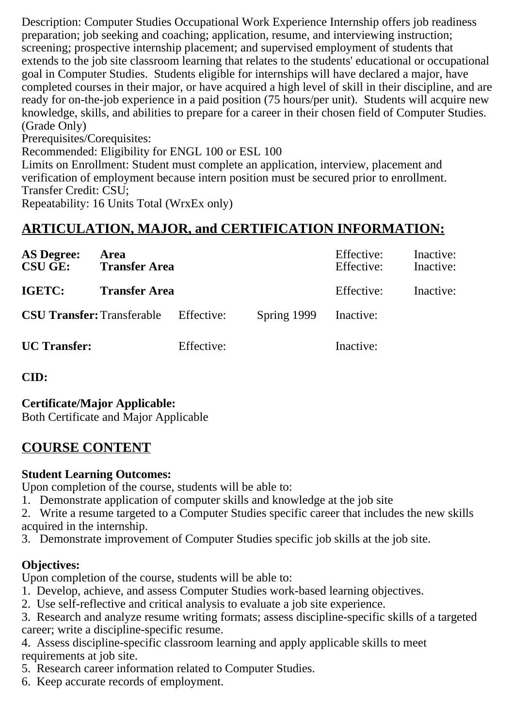Description: Computer Studies Occupational Work Experience Internship offers job readiness preparation; job seeking and coaching; application, resume, and interviewing instruction; screening; prospective internship placement; and supervised employment of students that extends to the job site classroom learning that relates to the students' educational or occupational goal in Computer Studies. Students eligible for internships will have declared a major, have completed courses in their major, or have acquired a high level of skill in their discipline, and are ready for on-the-job experience in a paid position (75 hours/per unit). Students will acquire new knowledge, skills, and abilities to prepare for a career in their chosen field of Computer Studies. (Grade Only)

Prerequisites/Corequisites:

Recommended: Eligibility for ENGL 100 or ESL 100

Limits on Enrollment: Student must complete an application, interview, placement and verification of employment because intern position must be secured prior to enrollment. Transfer Credit: CSU;

Repeatability: 16 Units Total (WrxEx only)

## **ARTICULATION, MAJOR, and CERTIFICATION INFORMATION:**

| <b>AS Degree:</b><br><b>CSU GE:</b> | Area<br><b>Transfer Area</b> |            |             | Effective:<br>Effective: | Inactive:<br>Inactive: |
|-------------------------------------|------------------------------|------------|-------------|--------------------------|------------------------|
| IGETC:                              | <b>Transfer Area</b>         |            |             | Effective:               | Inactive:              |
| <b>CSU Transfer: Transferable</b>   |                              | Effective: | Spring 1999 | Inactive:                |                        |
| <b>UC</b> Transfer:                 |                              | Effective: |             | Inactive:                |                        |

## **CID:**

**Certificate/Major Applicable:** 

[Both Certificate and Major Applicable](SR_ClassCheck.aspx?CourseKey=CS99I)

## **COURSE CONTENT**

## **Student Learning Outcomes:**

Upon completion of the course, students will be able to:

1. Demonstrate application of computer skills and knowledge at the job site

2. Write a resume targeted to a Computer Studies specific career that includes the new skills acquired in the internship.

3. Demonstrate improvement of Computer Studies specific job skills at the job site.

## **Objectives:**

Upon completion of the course, students will be able to:

- 1. Develop, achieve, and assess Computer Studies work-based learning objectives.
- 2. Use self-reflective and critical analysis to evaluate a job site experience.

3. Research and analyze resume writing formats; assess discipline-specific skills of a targeted career; write a discipline-specific resume.

4. Assess discipline-specific classroom learning and apply applicable skills to meet requirements at job site.

- 5. Research career information related to Computer Studies.
- 6. Keep accurate records of employment.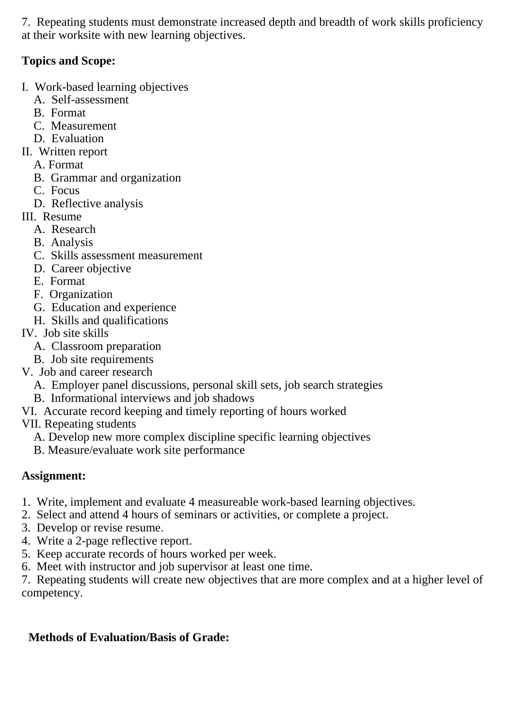7. Repeating students must demonstrate increased depth and breadth of work skills proficiency at their worksite with new learning objectives.

## **Topics and Scope:**

- I. Work-based learning objectives
	- A. Self-assessment
	- B. Format
	- C. Measurement
	- D. Evaluation
- II. Written report
	- A. Format
	- B. Grammar and organization
	- C. Focus
	- D. Reflective analysis
- III. Resume
	- A. Research
	- B. Analysis
	- C. Skills assessment measurement
	- D. Career objective
	- E. Format
	- F. Organization
	- G. Education and experience
	- H. Skills and qualifications
- IV. Job site skills
	- A. Classroom preparation
	- B. Job site requirements
- V. Job and career research
	- A. Employer panel discussions, personal skill sets, job search strategies
	- B. Informational interviews and job shadows
- VI. Accurate record keeping and timely reporting of hours worked
- VII. Repeating students
	- A. Develop new more complex discipline specific learning objectives
	- B. Measure/evaluate work site performance

# **Assignment:**

- 1. Write, implement and evaluate 4 measureable work-based learning objectives.
- 2. Select and attend 4 hours of seminars or activities, or complete a project.
- 3. Develop or revise resume.
- 4. Write a 2-page reflective report.
- 5. Keep accurate records of hours worked per week.
- 6. Meet with instructor and job supervisor at least one time.

7. Repeating students will create new objectives that are more complex and at a higher level of competency.

# **Methods of Evaluation/Basis of Grade:**